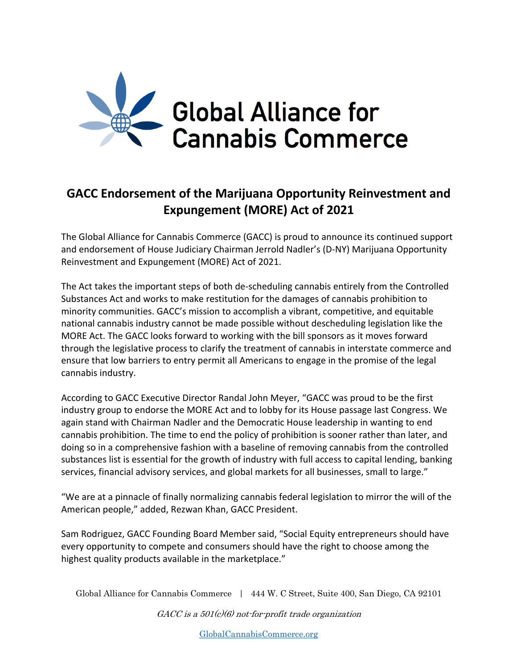

## **GACC Endorsement of the Marijuana Opportunity Reinvestment and Expungement (MORE) Act of 2021**

The Global Alliance for Cannabis Commerce (GACC) is proud to announce its continued support and endorsement of House Judiciary Chairman Jerrold Nadler's (D-NY) Marijuana Opportunity Reinvestment and Expungement (MORE) Act of 2021.

The Act takes the important steps of both de-scheduling cannabis entirely from the Controlled Substances Act and works to make restitution for the damages of cannabis prohibition to minority communities. GACC's mission to accomplish a vibrant, competitive, and equitable national cannabis industry cannot be made possible without descheduling legislation like the MORE Act. The GACC looks forward to working with the bill sponsors as it moves forward through the legislative process to clarify the treatment of cannabis in interstate commerce and ensure that low barriers to entry permit all Americans to engage in the promise of the legal cannabis industry.

According to GACC Executive Director Randal John Meyer, "GACC was proud to be the first industry group to endorse the MORE Act and to lobby for its House passage last Congress. We again stand with Chairman Nadler and the Democratic House leadership in wanting to end cannabis prohibition. The time to end the policy of prohibition is sooner rather than later, and doing so in a comprehensive fashion with a baseline of removing cannabis from the controlled substances list is essential for the growth of industry with full access to capital lending, banking services, financial advisory services, and global markets for all businesses, small to large."

"We are at a pinnacle of finally normalizing cannabis federal legislation to mirror the will of the American people," added, Rezwan Khan, GACC President.

Sam Rodriguez, GACC Founding Board Member said, "Social Equity entrepreneurs should have every opportunity to compete and consumers should have the right to choose among the highest quality products available in the marketplace."

Global Alliance for Cannabis Commerce | 444 W. C Street, Suite 400, San Diego, CA 92101

 $GACC$  is a  $501(c)(6)$  not-for-profit trade organization

GlobalCannabisCommerce.org